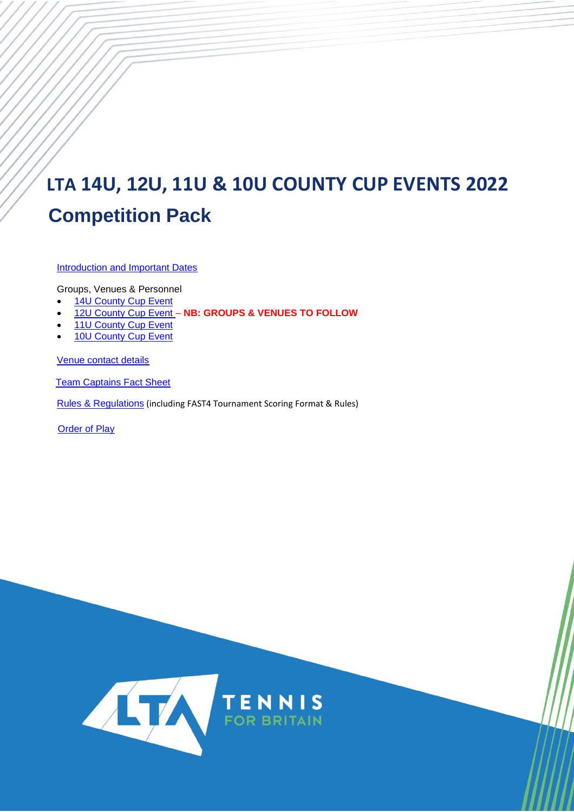# **LTA 14U, 12U, 11U & 10U COUNTY CUP EVENTS 2022 Competition Pack**

Introduction and Important Dates

Groups, Venues & Personnel

- 14U County Cup Event
- 12U County Cup Event **NB: GROUPS & VENUES TO FOLLOW**
- 11U County Cup Event
- 10U County Cup Event

Venue contact details

Team Captains Fact Sheet

Rules & Regulations (including FAST4 Tournament Scoring Format & Rules)

**Order of Play** 

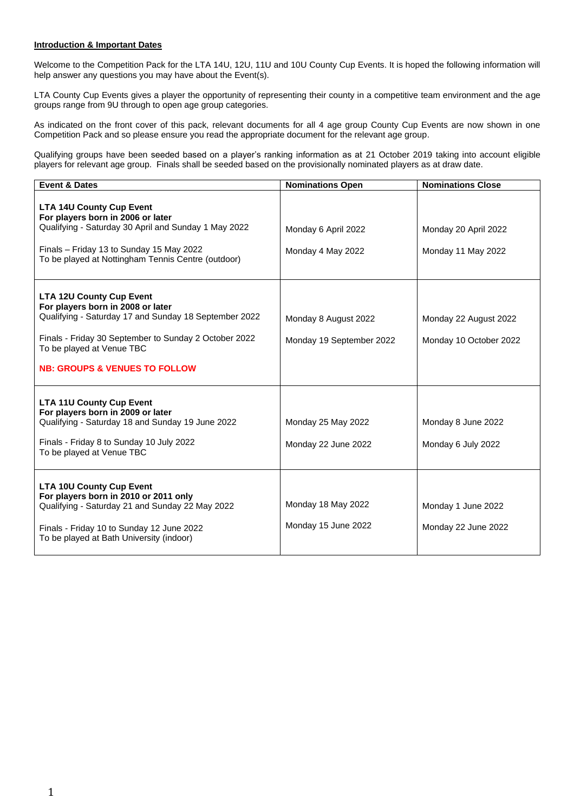### **Introduction & Important Dates**

Welcome to the Competition Pack for the LTA 14U, 12U, 11U and 10U County Cup Events. It is hoped the following information will help answer any questions you may have about the Event(s).

LTA County Cup Events gives a player the opportunity of representing their county in a competitive team environment and the age groups range from 9U through to open age group categories.

As indicated on the front cover of this pack, relevant documents for all 4 age group County Cup Events are now shown in one Competition Pack and so please ensure you read the appropriate document for the relevant age group.

Qualifying groups have been seeded based on a player's ranking information as at 21 October 2019 taking into account eligible players for relevant age group. Finals shall be seeded based on the provisionally nominated players as at draw date.

| <b>Event &amp; Dates</b>                                                                                                                                                                                                                                        | <b>Nominations Open</b>                          | <b>Nominations Close</b>                        |
|-----------------------------------------------------------------------------------------------------------------------------------------------------------------------------------------------------------------------------------------------------------------|--------------------------------------------------|-------------------------------------------------|
| <b>LTA 14U County Cup Event</b><br>For players born in 2006 or later<br>Qualifying - Saturday 30 April and Sunday 1 May 2022<br>Finals - Friday 13 to Sunday 15 May 2022<br>To be played at Nottingham Tennis Centre (outdoor)                                  | Monday 6 April 2022<br>Monday 4 May 2022         | Monday 20 April 2022<br>Monday 11 May 2022      |
| <b>LTA 12U County Cup Event</b><br>For players born in 2008 or later<br>Qualifying - Saturday 17 and Sunday 18 September 2022<br>Finals - Friday 30 September to Sunday 2 October 2022<br>To be played at Venue TBC<br><b>NB: GROUPS &amp; VENUES TO FOLLOW</b> | Monday 8 August 2022<br>Monday 19 September 2022 | Monday 22 August 2022<br>Monday 10 October 2022 |
| <b>LTA 11U County Cup Event</b><br>For players born in 2009 or later<br>Qualifying - Saturday 18 and Sunday 19 June 2022<br>Finals - Friday 8 to Sunday 10 July 2022<br>To be played at Venue TBC                                                               | Monday 25 May 2022<br>Monday 22 June 2022        | Monday 8 June 2022<br>Monday 6 July 2022        |
| <b>LTA 10U County Cup Event</b><br>For players born in 2010 or 2011 only<br>Qualifying - Saturday 21 and Sunday 22 May 2022<br>Finals - Friday 10 to Sunday 12 June 2022<br>To be played at Bath University (indoor)                                            | Monday 18 May 2022<br>Monday 15 June 2022        | Monday 1 June 2022<br>Monday 22 June 2022       |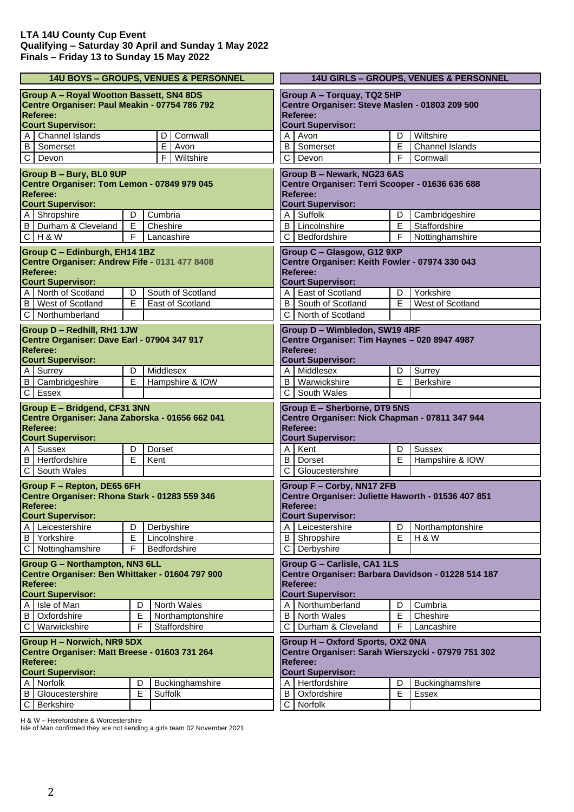### **LTA 14U County Cup Event Qualifying – Saturday 30 April and Sunday 1 May 2022 Finals – Friday 13 to Sunday 15 May 2022**

| 14U BOYS - GROUPS, VENUES & PERSONNEL                                                                                                                                                      |        |            |                                                                                                                                         |                                                                                                                                                    | 14U GIRLS - GROUPS, VENUES & PERSONNEL                                                                               |                  |                  |  |
|--------------------------------------------------------------------------------------------------------------------------------------------------------------------------------------------|--------|------------|-----------------------------------------------------------------------------------------------------------------------------------------|----------------------------------------------------------------------------------------------------------------------------------------------------|----------------------------------------------------------------------------------------------------------------------|------------------|------------------|--|
| <b>Group A - Royal Wootton Bassett, SN4 8DS</b><br>Centre Organiser: Paul Meakin - 07754 786 792<br>Referee:<br><b>Court Supervisor:</b>                                                   |        |            |                                                                                                                                         |                                                                                                                                                    | Group A - Torquay, TQ2 5HP<br>Centre Organiser: Steve Maslen - 01803 209 500<br>Referee:<br><b>Court Supervisor:</b> |                  |                  |  |
| <b>Channel Islands</b><br>Cornwall<br>D<br>A                                                                                                                                               |        |            |                                                                                                                                         |                                                                                                                                                    | Avon                                                                                                                 | D                | Wiltshire        |  |
| B<br>Somerset                                                                                                                                                                              |        |            | E Avon                                                                                                                                  | B                                                                                                                                                  | Somerset                                                                                                             | E                | Channel Islands  |  |
| C Devon                                                                                                                                                                                    |        |            | F Wiltshire                                                                                                                             | $\overline{C}$                                                                                                                                     | Devon                                                                                                                | $\overline{F}$   | Cornwall         |  |
|                                                                                                                                                                                            |        |            |                                                                                                                                         |                                                                                                                                                    |                                                                                                                      |                  |                  |  |
| Group B - Bury, BL0 9UP<br>Centre Organiser: Tom Lemon - 07849 979 045<br><b>Referee:</b><br><b>Court Supervisor:</b>                                                                      |        |            |                                                                                                                                         | Group B - Newark, NG23 6AS<br>Centre Organiser: Terri Scooper - 01636 636 688<br><b>Referee:</b><br><b>Court Supervisor:</b>                       |                                                                                                                      |                  |                  |  |
| A Shropshire                                                                                                                                                                               | D      | Cumbria    |                                                                                                                                         |                                                                                                                                                    | A Suffolk                                                                                                            | D                | Cambridgeshire   |  |
| <b>B</b> Durham & Cleveland                                                                                                                                                                | E      | Cheshire   |                                                                                                                                         |                                                                                                                                                    | <b>B</b> Lincolnshire                                                                                                | E                | Staffordshire    |  |
| CH 8 W                                                                                                                                                                                     | F      | Lancashire |                                                                                                                                         | $\circ$                                                                                                                                            | Bedfordshire                                                                                                         | F                | Nottinghamshire  |  |
| Group C - Edinburgh, EH14 1BZ<br>Centre Organiser: Andrew Fife - 0131 477 8408<br><b>Referee:</b><br><b>Court Supervisor:</b>                                                              |        |            | A                                                                                                                                       | Group C - Glasgow, G12 9XP<br>Centre Organiser: Keith Fowler - 07974 330 043<br><b>Referee:</b><br><b>Court Supervisor:</b><br>East of Scotland    | D                                                                                                                    | Yorkshire        |                  |  |
| North of Scotland<br>ΑI<br><b>B</b>   West of Scotland                                                                                                                                     | D<br>E |            | South of Scotland<br>East of Scotland                                                                                                   | B                                                                                                                                                  | South of Scotland                                                                                                    | E                | West of Scotland |  |
|                                                                                                                                                                                            |        |            |                                                                                                                                         | C I                                                                                                                                                |                                                                                                                      |                  |                  |  |
| C   Northumberland                                                                                                                                                                         |        |            |                                                                                                                                         |                                                                                                                                                    | North of Scotland                                                                                                    |                  |                  |  |
| Group D - Redhill, RH1 1JW<br>Centre Organiser: Dave Earl - 07904 347 917<br><b>Referee:</b><br><b>Court Supervisor:</b>                                                                   |        |            | Group D - Wimbledon, SW19 4RF<br>Centre Organiser: Tim Haynes - 020 8947 4987<br><b>Referee:</b><br><b>Court Supervisor:</b>            |                                                                                                                                                    |                                                                                                                      |                  |                  |  |
| Surrey<br>A I                                                                                                                                                                              | D      | Middlesex  |                                                                                                                                         | A                                                                                                                                                  | Middlesex                                                                                                            | D                | Surrey           |  |
| <b>B</b> Cambridgeshire                                                                                                                                                                    | E      |            | Hampshire & IOW                                                                                                                         |                                                                                                                                                    | <b>B</b> Warwickshire                                                                                                | E                | Berkshire        |  |
| C Essex                                                                                                                                                                                    |        |            |                                                                                                                                         | $\circ$                                                                                                                                            | South Wales                                                                                                          |                  |                  |  |
| <b>Group E - Bridgend, CF31 3NN</b><br>Centre Organiser: Jana Zaborska - 01656 662 041<br><b>Referee:</b><br><b>Court Supervisor:</b>                                                      |        |            |                                                                                                                                         | <b>Group E - Sherborne, DT9 5NS</b><br>Centre Organiser: Nick Chapman - 07811 347 944<br><b>Referee:</b><br><b>Court Supervisor:</b>               |                                                                                                                      |                  |                  |  |
| A Sussex                                                                                                                                                                                   | D      | Dorset     |                                                                                                                                         | A                                                                                                                                                  | Kent                                                                                                                 | D                | Sussex           |  |
| <b>B</b> Hertfordshire                                                                                                                                                                     | E      | Kent       |                                                                                                                                         | B                                                                                                                                                  | Dorset                                                                                                               | E                | Hampshire & IOW  |  |
| C South Wales                                                                                                                                                                              |        |            |                                                                                                                                         | $\circ$ $\vdash$                                                                                                                                   | Gloucestershire                                                                                                      |                  |                  |  |
| Group F - Repton, DE65 6FH<br>Centre Organiser: Rhona Stark - 01283 559 346<br><b>Referee:</b><br><b>Court Supervisor:</b>                                                                 |        |            |                                                                                                                                         | Group F - Corby, NN17 2FB<br>Centre Organiser: Juliette Haworth - 01536 407 851<br><b>Referee:</b><br><b>Court Supervisor:</b><br>A Leicestershire | D                                                                                                                    | Northamptonshire |                  |  |
| Leicestershire<br>ΑI<br>B<br>Yorkshire                                                                                                                                                     | D<br>E | Derbyshire | Lincolnshire                                                                                                                            |                                                                                                                                                    | <b>B</b> Shropshire                                                                                                  | E                | <b>H &amp; W</b> |  |
|                                                                                                                                                                                            | F      |            |                                                                                                                                         |                                                                                                                                                    | C Derbyshire                                                                                                         |                  |                  |  |
| $\mathsf{C}$<br>Nottinghamshire<br>Bedfordshire<br><b>Group G - Northampton, NN3 6LL</b><br>Centre Organiser: Ben Whittaker - 01604 797 900<br><b>Referee:</b><br><b>Court Supervisor:</b> |        |            | <b>Group G - Carlisle, CA1 1LS</b><br>Centre Organiser: Barbara Davidson - 01228 514 187<br><b>Referee:</b><br><b>Court Supervisor:</b> |                                                                                                                                                    |                                                                                                                      |                  |                  |  |
| Isle of Man<br>A                                                                                                                                                                           | D      |            | North Wales                                                                                                                             | A                                                                                                                                                  | Northumberland                                                                                                       | D                | Cumbria          |  |
| В<br>Oxfordshire                                                                                                                                                                           | Ε      |            | Northamptonshire                                                                                                                        | В                                                                                                                                                  | North Wales                                                                                                          | Ε                | Cheshire         |  |
| C   Warwickshire                                                                                                                                                                           | F      |            | Staffordshire                                                                                                                           | С                                                                                                                                                  | Durham & Cleveland                                                                                                   | F                | Lancashire       |  |
| <b>Group H - Norwich, NR9 5DX</b><br>Centre Organiser: Matt Breese - 01603 731 264<br><b>Referee:</b><br><b>Court Supervisor:</b>                                                          |        |            | Group H - Oxford Sports, OX2 0NA<br>Centre Organiser: Sarah Wierszycki - 07979 751 302<br><b>Referee:</b><br><b>Court Supervisor:</b>   |                                                                                                                                                    |                                                                                                                      |                  |                  |  |
| Norfolk<br>ΑI                                                                                                                                                                              | D      |            | Buckinghamshire                                                                                                                         | A                                                                                                                                                  | Hertfordshire                                                                                                        | D                | Buckinghamshire  |  |
| Gloucestershire<br>В                                                                                                                                                                       | Ε      | Suffolk    |                                                                                                                                         | В                                                                                                                                                  | Oxfordshire                                                                                                          | Ε                | Essex            |  |
| C Berkshire                                                                                                                                                                                |        |            |                                                                                                                                         | $\mathsf{C}$                                                                                                                                       | Norfolk                                                                                                              |                  |                  |  |

H & W – Herefordshire & Worcestershire

Isle of Man confirmed they are not sending a girls team 02 November 2021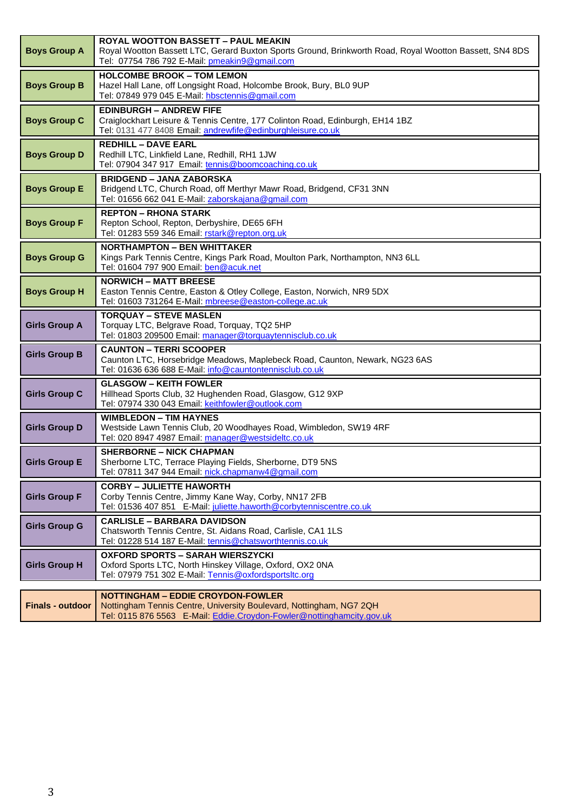| <b>Boys Group A</b>     | <b>ROYAL WOOTTON BASSETT - PAUL MEAKIN</b><br>Royal Wootton Bassett LTC, Gerard Buxton Sports Ground, Brinkworth Road, Royal Wootton Bassett, SN4 8DS<br>Tel: 07754 786 792 E-Mail: pmeakin9@gmail.com |
|-------------------------|--------------------------------------------------------------------------------------------------------------------------------------------------------------------------------------------------------|
| <b>Boys Group B</b>     | <b>HOLCOMBE BROOK - TOM LEMON</b><br>Hazel Hall Lane, off Longsight Road, Holcombe Brook, Bury, BL0 9UP<br>Tel: 07849 979 045 E-Mail: hbsctennis@gmail.com                                             |
| <b>Boys Group C</b>     | <b>EDINBURGH - ANDREW FIFE</b><br>Craiglockhart Leisure & Tennis Centre, 177 Colinton Road, Edinburgh, EH14 1BZ<br>Tel: 0131 477 8408 Email: andrewfife@edinburghleisure.co.uk                         |
| <b>Boys Group D</b>     | <b>REDHILL - DAVE EARL</b><br>Redhill LTC, Linkfield Lane, Redhill, RH1 1JW<br>Tel: 07904 347 917 Email: tennis@boomcoaching.co.uk                                                                     |
| <b>Boys Group E</b>     | <b>BRIDGEND - JANA ZABORSKA</b><br>Bridgend LTC, Church Road, off Merthyr Mawr Road, Bridgend, CF31 3NN<br>Tel: 01656 662 041 E-Mail: zaborskajana@gmail.com                                           |
| <b>Boys Group F</b>     | <b>REPTON - RHONA STARK</b><br>Repton School, Repton, Derbyshire, DE65 6FH<br>Tel: 01283 559 346 Email: rstark@repton.org.uk                                                                           |
| <b>Boys Group G</b>     | <b>NORTHAMPTON - BEN WHITTAKER</b><br>Kings Park Tennis Centre, Kings Park Road, Moulton Park, Northampton, NN3 6LL<br>Tel: 01604 797 900 Email: ben@acuk.net                                          |
| <b>Boys Group H</b>     | <b>NORWICH - MATT BREESE</b><br>Easton Tennis Centre, Easton & Otley College, Easton, Norwich, NR9 5DX<br>Tel: 01603 731264 E-Mail: mbreese@easton-college.ac.uk                                       |
| <b>Girls Group A</b>    | <b>TORQUAY - STEVE MASLEN</b><br>Torquay LTC, Belgrave Road, Torquay, TQ2 5HP<br>Tel: 01803 209500 Email: manager@torquaytennisclub.co.uk                                                              |
| <b>Girls Group B</b>    | <b>CAUNTON - TERRI SCOOPER</b><br>Caunton LTC, Horsebridge Meadows, Maplebeck Road, Caunton, Newark, NG23 6AS<br>Tel: 01636 636 688 E-Mail: info@cauntontennisclub.co.uk                               |
| <b>Girls Group C</b>    | <b>GLASGOW - KEITH FOWLER</b><br>Hillhead Sports Club, 32 Hughenden Road, Glasgow, G12 9XP<br>Tel: 07974 330 043 Email: keithfowler@outlook.com                                                        |
| <b>Girls Group D</b>    | <b>WIMBLEDON - TIM HAYNES</b><br>Westside Lawn Tennis Club, 20 Woodhayes Road, Wimbledon, SW19 4RF<br>Tel: 020 8947 4987 Email: manager@westsideltc.co.uk                                              |
| <b>Girls Group E</b>    | <b>SHERBORNE - NICK CHAPMAN</b><br>Sherborne LTC, Terrace Playing Fields, Sherborne, DT9 5NS<br>Tel: 07811 347 944 Email: nick.chapmanw4@gmail.com                                                     |
| <b>Girls Group F</b>    | <b>CORBY - JULIETTE HAWORTH</b><br>Corby Tennis Centre, Jimmy Kane Way, Corby, NN17 2FB<br>Tel: 01536 407 851 E-Mail: juliette.haworth@corbytenniscentre.co.uk                                         |
| <b>Girls Group G</b>    | <b>CARLISLE - BARBARA DAVIDSON</b><br>Chatsworth Tennis Centre, St. Aidans Road, Carlisle, CA1 1LS<br>Tel: 01228 514 187 E-Mail: tennis@chatsworthtennis.co.uk                                         |
| <b>Girls Group H</b>    | <b>OXFORD SPORTS - SARAH WIERSZYCKI</b><br>Oxford Sports LTC, North Hinskey Village, Oxford, OX2 0NA<br>Tel: 07979 751 302 E-Mail: Tennis@oxfordsportsltc.org                                          |
| <b>Finals - outdoor</b> | <b>NOTTINGHAM - EDDIE CROYDON-FOWLER</b><br>Nottingham Tennis Centre, University Boulevard, Nottingham, NG7 2QH                                                                                        |

Tel: 0115 876 5563 E-Mail: [Eddie.Croydon-Fowler@nottinghamcity.gov.uk](mailto:Eddie.Croydon-Fowler@nottinghamcity.gov.uk)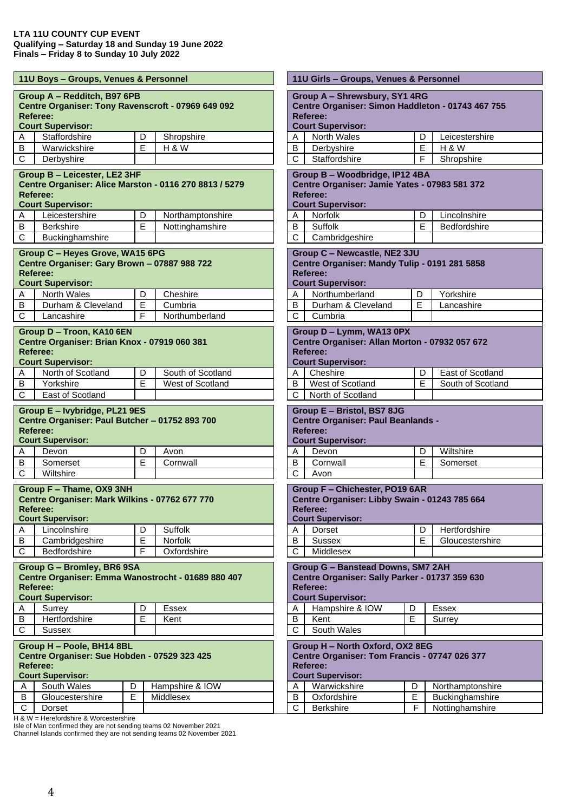### **LTA 11U COUNTY CUP EVENT Qualifying – Saturday 18 and Sunday 19 June 2022 Finals – Friday 8 to Sunday 10 July 2022**

| 11U Boys - Groups, Venues & Personnel                                                                                                 |                                                                                                                                          |   |                                                                                                                                   |                                                                                                                    | 11U Girls - Groups, Venues & Personnel                                                                                                   |                     |                                    |  |
|---------------------------------------------------------------------------------------------------------------------------------------|------------------------------------------------------------------------------------------------------------------------------------------|---|-----------------------------------------------------------------------------------------------------------------------------------|--------------------------------------------------------------------------------------------------------------------|------------------------------------------------------------------------------------------------------------------------------------------|---------------------|------------------------------------|--|
| Group A - Redditch, B97 6PB<br>Centre Organiser: Tony Ravenscroft - 07969 649 092<br><b>Referee:</b><br><b>Court Supervisor:</b>      |                                                                                                                                          |   | Group A - Shrewsbury, SY1 4RG<br>Centre Organiser: Simon Haddleton - 01743 467 755<br><b>Referee:</b><br><b>Court Supervisor:</b> |                                                                                                                    |                                                                                                                                          |                     |                                    |  |
| Α                                                                                                                                     | Staffordshire                                                                                                                            | D | Shropshire                                                                                                                        | A                                                                                                                  | North Wales                                                                                                                              | D                   | Leicestershire                     |  |
| B                                                                                                                                     | Warwickshire                                                                                                                             | E | <b>H &amp; W</b>                                                                                                                  | B                                                                                                                  | Derbyshire                                                                                                                               | E                   | <b>H &amp; W</b>                   |  |
| С                                                                                                                                     | Derbyshire                                                                                                                               |   |                                                                                                                                   | $\overline{C}$                                                                                                     | Staffordshire                                                                                                                            | F                   | Shropshire                         |  |
| Group B - Leicester, LE2 3HF<br>Centre Organiser: Alice Marston - 0116 270 8813 / 5279<br><b>Referee:</b><br><b>Court Supervisor:</b> |                                                                                                                                          |   | Group B - Woodbridge, IP12 4BA<br>Centre Organiser: Jamie Yates - 07983 581 372<br>Referee:<br><b>Court Supervisor:</b>           |                                                                                                                    |                                                                                                                                          |                     |                                    |  |
| Α                                                                                                                                     | Leicestershire                                                                                                                           | D | Northamptonshire                                                                                                                  | A                                                                                                                  | Norfolk                                                                                                                                  | D                   | Lincolnshire                       |  |
| B                                                                                                                                     | <b>Berkshire</b>                                                                                                                         | E | Nottinghamshire                                                                                                                   | B                                                                                                                  | Suffolk                                                                                                                                  | E                   | Bedfordshire                       |  |
| $\overline{C}$                                                                                                                        | Buckinghamshire                                                                                                                          |   |                                                                                                                                   | $\overline{\text{c}}$                                                                                              | Cambridgeshire                                                                                                                           |                     |                                    |  |
| <b>Group C - Heyes Grove, WA15 6PG</b><br>Centre Organiser: Gary Brown - 07887 988 722<br>Referee:<br><b>Court Supervisor:</b>        |                                                                                                                                          |   |                                                                                                                                   |                                                                                                                    | <b>Group C - Newcastle, NE2 3JU</b><br>Centre Organiser: Mandy Tulip - 0191 281 5858<br>Referee:<br><b>Court Supervisor:</b>             |                     |                                    |  |
| Α                                                                                                                                     | <b>North Wales</b>                                                                                                                       | D | Cheshire                                                                                                                          | A                                                                                                                  | Northumberland                                                                                                                           | D                   | Yorkshire                          |  |
| B                                                                                                                                     | Durham & Cleveland                                                                                                                       | E | Cumbria                                                                                                                           | B                                                                                                                  | Durham & Cleveland                                                                                                                       | E                   | Lancashire                         |  |
| $\overline{C}$                                                                                                                        | Lancashire                                                                                                                               | F | Northumberland                                                                                                                    | $\overline{C}$                                                                                                     | Cumbria                                                                                                                                  |                     |                                    |  |
| Group D - Troon, KA10 6EN<br>Centre Organiser: Brian Knox - 07919 060 381<br>Referee:<br><b>Court Supervisor:</b>                     |                                                                                                                                          |   |                                                                                                                                   | Group D - Lymm, WA13 0PX<br>Centre Organiser: Allan Morton - 07932 057 672<br>Referee:<br><b>Court Supervisor:</b> |                                                                                                                                          |                     |                                    |  |
| Α                                                                                                                                     | North of Scotland                                                                                                                        | D | South of Scotland                                                                                                                 | А                                                                                                                  | Cheshire                                                                                                                                 | D                   | East of Scotland                   |  |
| B                                                                                                                                     | Yorkshire                                                                                                                                | E | West of Scotland                                                                                                                  | B                                                                                                                  | West of Scotland                                                                                                                         | E                   | South of Scotland                  |  |
|                                                                                                                                       |                                                                                                                                          |   |                                                                                                                                   |                                                                                                                    |                                                                                                                                          |                     |                                    |  |
| $\mathsf C$                                                                                                                           | East of Scotland                                                                                                                         |   |                                                                                                                                   | C                                                                                                                  | North of Scotland                                                                                                                        |                     |                                    |  |
|                                                                                                                                       | Group E - Ivybridge, PL21 9ES<br>Centre Organiser: Paul Butcher - 01752 893 700<br>Referee:<br><b>Court Supervisor:</b>                  |   |                                                                                                                                   |                                                                                                                    | Group E - Bristol, BS7 8JG<br><b>Centre Organiser: Paul Beanlands -</b><br>Referee:<br><b>Court Supervisor:</b>                          |                     |                                    |  |
| A                                                                                                                                     | Devon                                                                                                                                    | D | Avon                                                                                                                              | A                                                                                                                  | Devon                                                                                                                                    | D                   | Wiltshire                          |  |
| B                                                                                                                                     | Somerset                                                                                                                                 | E | Cornwall                                                                                                                          | B                                                                                                                  | Cornwall                                                                                                                                 | E                   | Somerset                           |  |
| $\overline{C}$                                                                                                                        | Wiltshire                                                                                                                                |   |                                                                                                                                   | C                                                                                                                  | Avon                                                                                                                                     |                     |                                    |  |
|                                                                                                                                       | Group F - Thame, OX9 3NH<br>Centre Organiser: Mark Wilkins - 07762 677 770<br><b>Referee:</b><br><b>Court Supervisor:</b>                |   |                                                                                                                                   |                                                                                                                    | Group F - Chichester, PO19 6AR<br>Centre Organiser: Libby Swain - 01243 785 664<br><b>Referee:</b><br><b>Court Supervisor:</b>           |                     |                                    |  |
| Α                                                                                                                                     | Lincolnshire                                                                                                                             | D | Suffolk                                                                                                                           | Α                                                                                                                  | Dorset                                                                                                                                   | D                   | Hertfordshire                      |  |
| В                                                                                                                                     | Cambridgeshire                                                                                                                           | E | Norfolk                                                                                                                           | В                                                                                                                  | <b>Sussex</b>                                                                                                                            | E                   | Gloucestershire                    |  |
| $\mathbf C$                                                                                                                           | Bedfordshire<br>Group G - Bromley, BR6 9SA<br>Centre Organiser: Emma Wanostrocht - 01689 880 407<br>Referee:<br><b>Court Supervisor:</b> | F | Oxfordshire                                                                                                                       | C                                                                                                                  | Middlesex<br>Group G - Banstead Downs, SM7 2AH<br>Centre Organiser: Sally Parker - 01737 359 630<br>Referee:<br><b>Court Supervisor:</b> |                     |                                    |  |
| Α                                                                                                                                     | Surrey                                                                                                                                   | D | Essex                                                                                                                             | A                                                                                                                  | Hampshire & IOW                                                                                                                          | D                   | Essex                              |  |
| B                                                                                                                                     | Hertfordshire                                                                                                                            | E | Kent                                                                                                                              | $\overline{B}$                                                                                                     | Kent                                                                                                                                     | E                   | Surrey                             |  |
| $\mathbf C$                                                                                                                           | <b>Sussex</b><br>Group H - Poole, BH14 8BL<br>Centre Organiser: Sue Hobden - 07529 323 425<br>Referee:<br><b>Court Supervisor:</b>       |   |                                                                                                                                   | C                                                                                                                  | South Wales<br>Group H - North Oxford, OX2 8EG<br>Centre Organiser: Tom Francis - 07747 026 377<br>Referee:<br><b>Court Supervisor:</b>  |                     |                                    |  |
| A                                                                                                                                     | South Wales                                                                                                                              | D | Hampshire & IOW                                                                                                                   | A                                                                                                                  | Warwickshire                                                                                                                             | D                   | Northamptonshire                   |  |
| B<br>C                                                                                                                                | Gloucestershire<br>Dorset                                                                                                                | E | Middlesex                                                                                                                         | B<br>$\mathsf C$                                                                                                   | Oxfordshire<br>Berkshire                                                                                                                 | $\overline{E}$<br>F | Buckinghamshire<br>Nottinghamshire |  |

H & W = Herefordshire & Worcestershire

Isle of Man confirmed they are not sending teams 02 November 2021

Channel Islands confirmed they are not sending teams 02 November 2021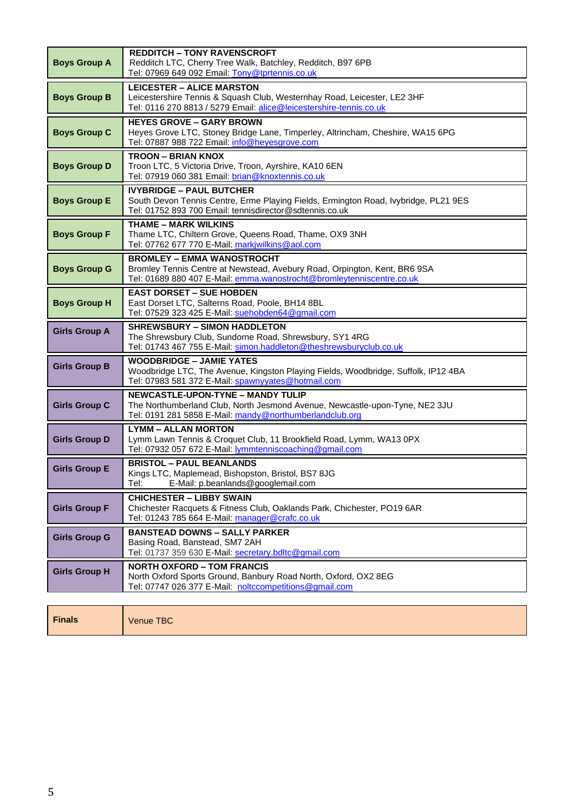| <b>Boys Group A</b>  | <b>REDDITCH - TONY RAVENSCROFT</b><br>Redditch LTC, Cherry Tree Walk, Batchley, Redditch, B97 6PB<br>Tel: 07969 649 092 Email: Tony@tprtennis.co.uk                                     |
|----------------------|-----------------------------------------------------------------------------------------------------------------------------------------------------------------------------------------|
| <b>Boys Group B</b>  | <b>LEICESTER - ALICE MARSTON</b><br>Leicestershire Tennis & Squash Club, Westernhay Road, Leicester, LE2 3HF<br>Tel: 0116 270 8813 / 5279 Email: alice@leicestershire-tennis.co.uk      |
| <b>Boys Group C</b>  | <b>HEYES GROVE - GARY BROWN</b><br>Heyes Grove LTC, Stoney Bridge Lane, Timperley, Altrincham, Cheshire, WA15 6PG<br>Tel: 07887 988 722 Email: info@heyesgrove.com                      |
| <b>Boys Group D</b>  | <b>TROON - BRIAN KNOX</b><br>Troon LTC, 5 Victoria Drive, Troon, Ayrshire, KA10 6EN<br>Tel: 07919 060 381 Email: brian@knoxtennis.co.uk                                                 |
| <b>Boys Group E</b>  | <b>IVYBRIDGE - PAUL BUTCHER</b><br>South Devon Tennis Centre, Erme Playing Fields, Ermington Road, Ivybridge, PL21 9ES<br>Tel: 01752 893 700 Email: tennisdirector@sdtennis.co.uk       |
| <b>Boys Group F</b>  | <b>THAME - MARK WILKINS</b><br>Thame LTC, Chiltern Grove, Queens Road, Thame, OX9 3NH<br>Tel: 07762 677 770 E-Mail: markjwilkins@aol.com                                                |
| <b>Boys Group G</b>  | <b>BROMLEY - EMMA WANOSTROCHT</b><br>Bromley Tennis Centre at Newstead, Avebury Road, Orpington, Kent, BR6 9SA<br>Tel: 01689 880 407 E-Mail: emma.wanostrocht@bromleytenniscentre.co.uk |
| <b>Boys Group H</b>  | <b>EAST DORSET - SUE HOBDEN</b><br>East Dorset LTC, Salterns Road, Poole, BH14 8BL<br>Tel: 07529 323 425 E-Mail: suehobden64@gmail.com                                                  |
| <b>Girls Group A</b> | <b>SHREWSBURY - SIMON HADDLETON</b><br>The Shrewsbury Club, Sundorne Road, Shrewsbury, SY1 4RG<br>Tel: 01743 467 755 E-Mail: simon.haddleton@theshrewsburyclub.co.uk                    |
| <b>Girls Group B</b> | <b>WOODBRIDGE - JAMIE YATES</b><br>Woodbridge LTC, The Avenue, Kingston Playing Fields, Woodbridge, Suffolk, IP12 4BA<br>Tel: 07983 581 372 E-Mail: spawnyyates@hotmail.com             |
| <b>Girls Group C</b> | NEWCASTLE-UPON-TYNE - MANDY TULIP<br>The Northumberland Club, North Jesmond Avenue, Newcastle-upon-Tyne, NE2 3JU<br>Tel: 0191 281 5858 E-Mail: mandy@northumberlandclub.org             |
| <b>Girls Group D</b> | <b>LYMM - ALLAN MORTON</b><br>Lymm Lawn Tennis & Croquet Club, 11 Brookfield Road, Lymm, WA13 0PX<br>Tel: 07932 057 672 E-Mail: lymmtenniscoaching@gmail.com                            |
| <b>Girls Group E</b> | <b>BRISTOL - PAUL BEANLANDS</b><br>Kings LTC, Maplemead, Bishopston, Bristol, BS7 8JG<br>Tel:<br>E-Mail: p.beanlands@googlemail.com                                                     |
| <b>Girls Group F</b> | <b>CHICHESTER - LIBBY SWAIN</b><br>Chichester Racquets & Fitness Club, Oaklands Park, Chichester, PO19 6AR<br>Tel: 01243 785 664 E-Mail: manager@crafc.co.uk                            |
| <b>Girls Group G</b> | <b>BANSTEAD DOWNS - SALLY PARKER</b><br>Basing Road, Banstead, SM7 2AH<br>Tel: 01737 359 630 E-Mail: secretary.bdltc@gmail.com                                                          |
| <b>Girls Group H</b> | <b>NORTH OXFORD - TOM FRANCIS</b><br>North Oxford Sports Ground, Banbury Road North, Oxford, OX2 8EG<br>Tel: 07747 026 377 E-Mail: noltccompetitions@gmail.com                          |
|                      |                                                                                                                                                                                         |

**Finals Venue TBC**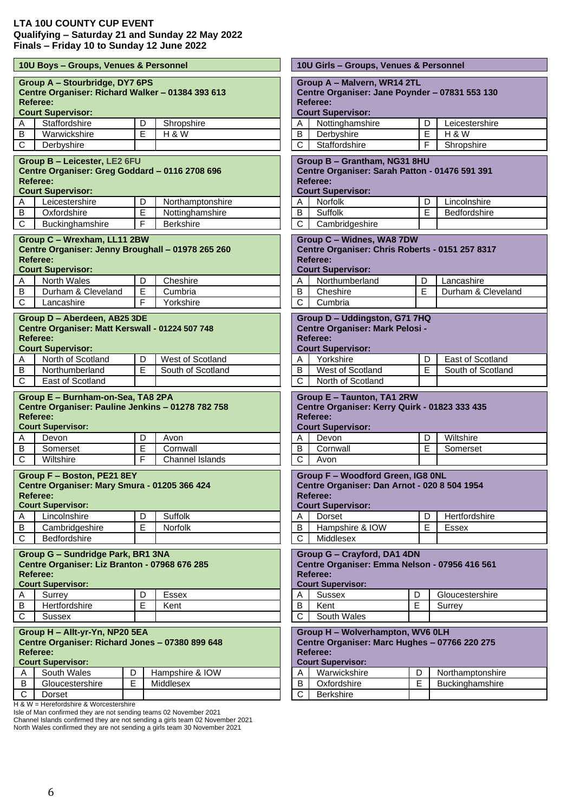### **LTA 10U COUNTY CUP EVENT Qualifying – Saturday 21 and Sunday 22 May 2022 Finals – Friday 10 to Sunday 12 June 2022**

| 10U Boys - Groups, Venues & Personnel                                                                                                |                                                                                                                                  |                |                                                                                                                               | 10U Girls - Groups, Venues & Personnel                                                                               |                                                                                                                           |                |                    |  |
|--------------------------------------------------------------------------------------------------------------------------------------|----------------------------------------------------------------------------------------------------------------------------------|----------------|-------------------------------------------------------------------------------------------------------------------------------|----------------------------------------------------------------------------------------------------------------------|---------------------------------------------------------------------------------------------------------------------------|----------------|--------------------|--|
| Group A - Stourbridge, DY7 6PS<br>Centre Organiser: Richard Walker - 01384 393 613<br>Referee:<br><b>Court Supervisor:</b>           |                                                                                                                                  |                | Group A - Malvern, WR14 2TL<br>Centre Organiser: Jane Poynder - 07831 553 130<br><b>Referee:</b><br><b>Court Supervisor:</b>  |                                                                                                                      |                                                                                                                           |                |                    |  |
| A                                                                                                                                    | Staffordshire                                                                                                                    | D              | Shropshire                                                                                                                    | Α                                                                                                                    | Nottinghamshire                                                                                                           | D              | Leicestershire     |  |
| $\sf B$                                                                                                                              | Warwickshire                                                                                                                     | E              | <b>H &amp; W</b>                                                                                                              | B                                                                                                                    | Derbyshire                                                                                                                | E              | <b>H &amp; W</b>   |  |
| $\overline{C}$                                                                                                                       | Derbyshire                                                                                                                       |                |                                                                                                                               | $\overline{\text{c}}$                                                                                                | Staffordshire                                                                                                             | F              | Shropshire         |  |
| <b>Group B - Leicester, LE2 6FU</b><br>Centre Organiser: Greg Goddard - 0116 2708 696<br><b>Referee:</b><br><b>Court Supervisor:</b> |                                                                                                                                  |                | Group B - Grantham, NG31 8HU<br>Centre Organiser: Sarah Patton - 01476 591 391<br><b>Referee:</b><br><b>Court Supervisor:</b> |                                                                                                                      |                                                                                                                           |                |                    |  |
| A                                                                                                                                    | Leicestershire                                                                                                                   | D              | Northamptonshire                                                                                                              | A                                                                                                                    | Norfolk                                                                                                                   | D              | Lincolnshire       |  |
| $\overline{B}$                                                                                                                       | Oxfordshire                                                                                                                      | Έ              | Nottinghamshire                                                                                                               | B                                                                                                                    | Suffolk                                                                                                                   | E              | Bedfordshire       |  |
| C                                                                                                                                    | Buckinghamshire                                                                                                                  | F              | <b>Berkshire</b>                                                                                                              | $\mathbf C$                                                                                                          | Cambridgeshire                                                                                                            |                |                    |  |
| Group C - Wrexham, LL11 2BW<br>Centre Organiser: Jenny Broughall - 01978 265 260<br><b>Referee:</b><br><b>Court Supervisor:</b>      |                                                                                                                                  |                |                                                                                                                               | Group C - Widnes, WA8 7DW<br>Centre Organiser: Chris Roberts - 0151 257 8317<br>Referee:<br><b>Court Supervisor:</b> |                                                                                                                           |                |                    |  |
| A                                                                                                                                    | <b>North Wales</b>                                                                                                               | D              | Cheshire                                                                                                                      | A                                                                                                                    | Northumberland                                                                                                            | D              | Lancashire         |  |
| B                                                                                                                                    | Durham & Cleveland                                                                                                               | $\overline{E}$ | Cumbria                                                                                                                       | B                                                                                                                    | Cheshire                                                                                                                  | E              | Durham & Cleveland |  |
| $\overline{C}$                                                                                                                       | Lancashire                                                                                                                       | F              | Yorkshire                                                                                                                     | $\mathsf C$                                                                                                          | Cumbria                                                                                                                   |                |                    |  |
| Group D - Aberdeen, AB25 3DE<br>Centre Organiser: Matt Kerswall - 01224 507 748<br>Referee:<br><b>Court Supervisor:</b>              |                                                                                                                                  |                | Group D - Uddingston, G71 7HQ<br>Centre Organiser: Mark Pelosi -<br><b>Referee:</b><br><b>Court Supervisor:</b>               |                                                                                                                      |                                                                                                                           |                |                    |  |
| A                                                                                                                                    | North of Scotland                                                                                                                | D              | West of Scotland                                                                                                              | A                                                                                                                    | Yorkshire                                                                                                                 | D              | East of Scotland   |  |
| B                                                                                                                                    | Northumberland                                                                                                                   | E.             | South of Scotland                                                                                                             | B<br>$\mathsf C$                                                                                                     | West of Scotland                                                                                                          | $\overline{E}$ | South of Scotland  |  |
|                                                                                                                                      |                                                                                                                                  |                |                                                                                                                               |                                                                                                                      | North of Scotland                                                                                                         |                |                    |  |
| C                                                                                                                                    | East of Scotland                                                                                                                 |                |                                                                                                                               |                                                                                                                      |                                                                                                                           |                |                    |  |
|                                                                                                                                      | Group E - Burnham-on-Sea, TA8 2PA<br>Centre Organiser: Pauline Jenkins - 01278 782 758<br>Referee:<br><b>Court Supervisor:</b>   |                |                                                                                                                               |                                                                                                                      | Group E - Taunton, TA1 2RW<br>Centre Organiser: Kerry Quirk - 01823 333 435<br>Referee:<br><b>Court Supervisor:</b>       |                |                    |  |
| A                                                                                                                                    | Devon                                                                                                                            | D              | Avon                                                                                                                          | A                                                                                                                    | Devon                                                                                                                     | D              | Wiltshire          |  |
| B                                                                                                                                    | Somerset                                                                                                                         | E              | Cornwall                                                                                                                      | B                                                                                                                    | Cornwall                                                                                                                  | E              | Somerset           |  |
| C                                                                                                                                    | Wiltshire                                                                                                                        | F              | Channel Islands                                                                                                               | C                                                                                                                    | Avon                                                                                                                      |                |                    |  |
|                                                                                                                                      | Group F - Boston, PE21 8EY<br>Centre Organiser: Mary Smura - 01205 366 424<br>Referee:<br><b>Court Supervisor:</b>               |                |                                                                                                                               |                                                                                                                      | Group F - Woodford Green, IG8 ONL<br>Centre Organiser: Dan Arnot - 020 8 504 1954<br>Referee:<br><b>Court Supervisor:</b> |                |                    |  |
| A                                                                                                                                    | Lincolnshire                                                                                                                     | D              | Suffolk                                                                                                                       | A                                                                                                                    | Dorset                                                                                                                    | D              | Hertfordshire      |  |
| B                                                                                                                                    | Cambridgeshire                                                                                                                   | $\overline{E}$ | Norfolk                                                                                                                       | B                                                                                                                    | Hampshire & IOW                                                                                                           | $\overline{E}$ | Essex              |  |
| C                                                                                                                                    | Bedfordshire                                                                                                                     |                |                                                                                                                               | $\mathsf C$                                                                                                          | Middlesex                                                                                                                 |                |                    |  |
|                                                                                                                                      | Group G - Sundridge Park, BR1 3NA<br>Centre Organiser: Liz Branton - 07968 676 285<br>Referee:<br><b>Court Supervisor:</b>       |                |                                                                                                                               |                                                                                                                      | Group G - Crayford, DA1 4DN<br>Centre Organiser: Emma Nelson - 07956 416 561<br>Referee:<br><b>Court Supervisor:</b>      |                |                    |  |
| Α                                                                                                                                    | Surrey                                                                                                                           | D              | Essex                                                                                                                         | A                                                                                                                    | <b>Sussex</b>                                                                                                             | D              | Gloucestershire    |  |
| B                                                                                                                                    | Hertfordshire                                                                                                                    | E              | Kent                                                                                                                          | B                                                                                                                    | Kent                                                                                                                      | E              | Surrey             |  |
| C                                                                                                                                    | <b>Sussex</b>                                                                                                                    |                |                                                                                                                               | C                                                                                                                    | South Wales                                                                                                               |                |                    |  |
|                                                                                                                                      | Group H - Allt-yr-Yn, NP20 5EA<br>Centre Organiser: Richard Jones - 07380 899 648<br><b>Referee:</b><br><b>Court Supervisor:</b> |                |                                                                                                                               |                                                                                                                      | Group H - Wolverhampton, WV6 0LH<br>Centre Organiser: Marc Hughes - 07766 220 275<br>Referee:<br><b>Court Supervisor:</b> |                |                    |  |
| A                                                                                                                                    | South Wales<br>D                                                                                                                 |                | Hampshire & IOW                                                                                                               | A                                                                                                                    | Warwickshire                                                                                                              | D              | Northamptonshire   |  |
| B<br>С                                                                                                                               | E<br>Gloucestershire<br>Dorset                                                                                                   |                | Middlesex                                                                                                                     | B<br>C                                                                                                               | Oxfordshire<br>Berkshire                                                                                                  | E              | Buckinghamshire    |  |

Isle of Man confirmed they are not sending teams 02 November 2021

Channel Islands confirmed they are not sending a girls team 02 November 2021 North Wales confirmed they are not sending a girls team 30 November 2021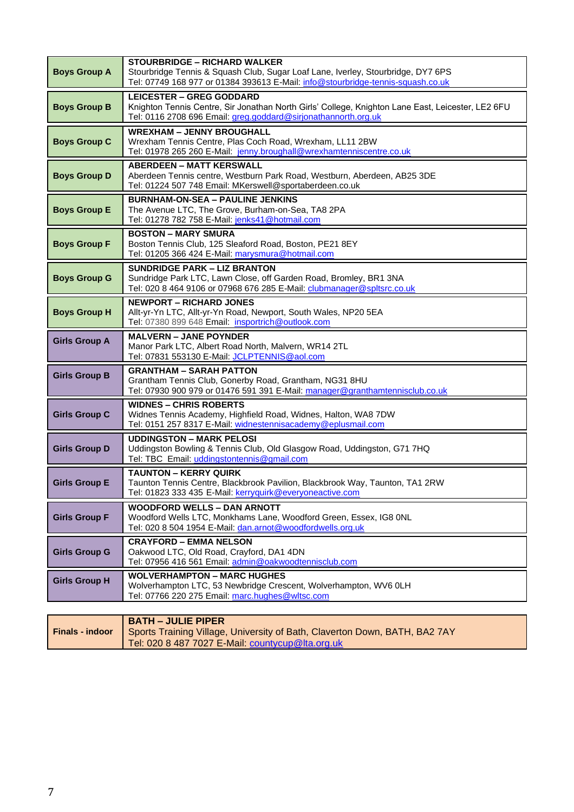| <b>Boys Group A</b>  | <b>STOURBRIDGE - RICHARD WALKER</b><br>Stourbridge Tennis & Squash Club, Sugar Loaf Lane, Iverley, Stourbridge, DY7 6PS<br>Tel: 07749 168 977 or 01384 393613 E-Mail: info@stourbridge-tennis-squash.co.uk |
|----------------------|------------------------------------------------------------------------------------------------------------------------------------------------------------------------------------------------------------|
| <b>Boys Group B</b>  | <b>LEICESTER - GREG GODDARD</b><br>Knighton Tennis Centre, Sir Jonathan North Girls' College, Knighton Lane East, Leicester, LE2 6FU<br>Tel: 0116 2708 696 Email: greg.goddard@sirjonathannorth.org.uk     |
| <b>Boys Group C</b>  | <b>WREXHAM - JENNY BROUGHALL</b><br>Wrexham Tennis Centre, Plas Coch Road, Wrexham, LL11 2BW<br>Tel: 01978 265 260 E-Mail: jenny.broughall@wrexhamtenniscentre.co.uk                                       |
| <b>Boys Group D</b>  | <b>ABERDEEN - MATT KERSWALL</b><br>Aberdeen Tennis centre, Westburn Park Road, Westburn, Aberdeen, AB25 3DE<br>Tel: 01224 507 748 Email: MKerswell@sportaberdeen.co.uk                                     |
| <b>Boys Group E</b>  | <b>BURNHAM-ON-SEA - PAULINE JENKINS</b><br>The Avenue LTC, The Grove, Burham-on-Sea, TA8 2PA<br>Tel: 01278 782 758 E-Mail: jenks41@hotmail.com                                                             |
| <b>Boys Group F</b>  | <b>BOSTON - MARY SMURA</b><br>Boston Tennis Club, 125 Sleaford Road, Boston, PE21 8EY<br>Tel: 01205 366 424 E-Mail: marysmura@hotmail.com                                                                  |
| <b>Boys Group G</b>  | <b>SUNDRIDGE PARK - LIZ BRANTON</b><br>Sundridge Park LTC, Lawn Close, off Garden Road, Bromley, BR1 3NA<br>Tel: 020 8 464 9106 or 07968 676 285 E-Mail: <i>clubmanager@spltsrc.co.uk</i>                  |
| <b>Boys Group H</b>  | <b>NEWPORT – RICHARD JONES</b><br>Allt-yr-Yn LTC, Allt-yr-Yn Road, Newport, South Wales, NP20 5EA<br>Tel: 07380 899 648 Email: insportrich@outlook.com                                                     |
| <b>Girls Group A</b> | <b>MALVERN - JANE POYNDER</b><br>Manor Park LTC, Albert Road North, Malvern, WR14 2TL<br>Tel: 07831 553130 E-Mail: JCLPTENNIS@aol.com                                                                      |
| <b>Girls Group B</b> | <b>GRANTHAM - SARAH PATTON</b><br>Grantham Tennis Club, Gonerby Road, Grantham, NG31 8HU<br>Tel: 07930 900 979 or 01476 591 391 E-Mail: manager@granthamtennisclub.co.uk                                   |
| <b>Girls Group C</b> | <b>WIDNES - CHRIS ROBERTS</b><br>Widnes Tennis Academy, Highfield Road, Widnes, Halton, WA8 7DW<br>Tel: 0151 257 8317 E-Mail: widnestennisacademy@eplusmail.com                                            |
| <b>Girls Group D</b> | <b>UDDINGSTON - MARK PELOSI</b><br>Uddingston Bowling & Tennis Club, Old Glasgow Road, Uddingston, G71 7HQ<br>Tel: TBC Email: uddingstontennis@gmail.com                                                   |
| <b>Girls Group E</b> | <b>TAUNTON - KERRY QUIRK</b><br>Taunton Tennis Centre, Blackbrook Pavilion, Blackbrook Way, Taunton, TA1 2RW<br>Tel: 01823 333 435 E-Mail: kerryquirk@everyoneactive.com                                   |
| <b>Girls Group F</b> | <b>WOODFORD WELLS - DAN ARNOTT</b><br>Woodford Wells LTC, Monkhams Lane, Woodford Green, Essex, IG8 ONL<br>Tel: 020 8 504 1954 E-Mail: dan.arnot@woodfordwells.org.uk                                      |
| <b>Girls Group G</b> | <b>CRAYFORD - EMMA NELSON</b><br>Oakwood LTC, Old Road, Crayford, DA1 4DN<br>Tel: 07956 416 561 Email: admin@oakwoodtennisclub.com                                                                         |
| <b>Girls Group H</b> | <b>WOLVERHAMPTON - MARC HUGHES</b><br>Wolverhampton LTC, 53 Newbridge Crescent, Wolverhampton, WV6 0LH<br>Tel: 07766 220 275 Email: marc.hughes@wltsc.com                                                  |
|                      |                                                                                                                                                                                                            |

|                        | <b>BATH – JULIE PIPER</b>                                                  |
|------------------------|----------------------------------------------------------------------------|
| <b>Finals - indoor</b> | Sports Training Village, University of Bath, Claverton Down, BATH, BA2 7AY |
|                        | Tel: 020 8 487 7027 E-Mail: countycup@lta.org.uk                           |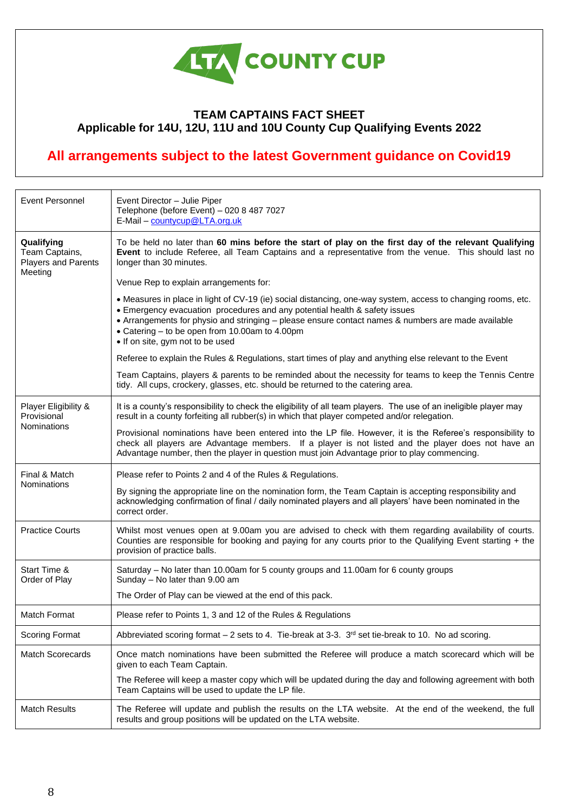

### **TEAM CAPTAINS FACT SHEET Applicable for 14U, 12U, 11U and 10U County Cup Qualifying Events 2022**

## **All arrangements subject to the latest Government guidance on Covid19**

| <b>Event Personnel</b>                                         | Event Director - Julie Piper<br>Telephone (before Event) - 020 8 487 7027<br>E-Mail - countycup@LTA.org.uk                                                                                                                                                                                                                                                                             |  |  |  |  |  |
|----------------------------------------------------------------|----------------------------------------------------------------------------------------------------------------------------------------------------------------------------------------------------------------------------------------------------------------------------------------------------------------------------------------------------------------------------------------|--|--|--|--|--|
| Qualifying<br>Team Captains,<br>Players and Parents<br>Meeting | To be held no later than 60 mins before the start of play on the first day of the relevant Qualifying<br>Event to include Referee, all Team Captains and a representative from the venue. This should last no<br>longer than 30 minutes.                                                                                                                                               |  |  |  |  |  |
|                                                                | Venue Rep to explain arrangements for:                                                                                                                                                                                                                                                                                                                                                 |  |  |  |  |  |
|                                                                | • Measures in place in light of CV-19 (ie) social distancing, one-way system, access to changing rooms, etc.<br>• Emergency evacuation procedures and any potential health & safety issues<br>• Arrangements for physio and stringing - please ensure contact names & numbers are made available<br>• Catering – to be open from 10.00am to 4.00pm<br>. If on site, gym not to be used |  |  |  |  |  |
|                                                                | Referee to explain the Rules & Regulations, start times of play and anything else relevant to the Event                                                                                                                                                                                                                                                                                |  |  |  |  |  |
|                                                                | Team Captains, players & parents to be reminded about the necessity for teams to keep the Tennis Centre<br>tidy. All cups, crockery, glasses, etc. should be returned to the catering area.                                                                                                                                                                                            |  |  |  |  |  |
| Player Eligibility &<br>Provisional                            | It is a county's responsibility to check the eligibility of all team players. The use of an ineligible player may<br>result in a county forfeiting all rubber(s) in which that player competed and/or relegation.                                                                                                                                                                      |  |  |  |  |  |
| Nominations                                                    | Provisional nominations have been entered into the LP file. However, it is the Referee's responsibility to<br>check all players are Advantage members. If a player is not listed and the player does not have an<br>Advantage number, then the player in question must join Advantage prior to play commencing.                                                                        |  |  |  |  |  |
| Final & Match                                                  | Please refer to Points 2 and 4 of the Rules & Regulations.                                                                                                                                                                                                                                                                                                                             |  |  |  |  |  |
| Nominations                                                    | By signing the appropriate line on the nomination form, the Team Captain is accepting responsibility and<br>acknowledging confirmation of final / daily nominated players and all players' have been nominated in the<br>correct order.                                                                                                                                                |  |  |  |  |  |
| <b>Practice Courts</b>                                         | Whilst most venues open at 9.00am you are advised to check with them regarding availability of courts.<br>Counties are responsible for booking and paying for any courts prior to the Qualifying Event starting + the<br>provision of practice balls.                                                                                                                                  |  |  |  |  |  |
| Start Time &<br>Order of Play                                  | Saturday – No later than 10.00am for 5 county groups and 11.00am for 6 county groups<br>Sunday - No later than 9.00 am                                                                                                                                                                                                                                                                 |  |  |  |  |  |
|                                                                | The Order of Play can be viewed at the end of this pack.                                                                                                                                                                                                                                                                                                                               |  |  |  |  |  |
| Match Format                                                   | Please refer to Points 1, 3 and 12 of the Rules & Regulations                                                                                                                                                                                                                                                                                                                          |  |  |  |  |  |
| Scoring Format                                                 | Abbreviated scoring format – 2 sets to 4. Tie-break at 3-3. $3rd$ set tie-break to 10. No ad scoring.                                                                                                                                                                                                                                                                                  |  |  |  |  |  |
| <b>Match Scorecards</b>                                        | Once match nominations have been submitted the Referee will produce a match scorecard which will be<br>given to each Team Captain.                                                                                                                                                                                                                                                     |  |  |  |  |  |
|                                                                | The Referee will keep a master copy which will be updated during the day and following agreement with both<br>Team Captains will be used to update the LP file.                                                                                                                                                                                                                        |  |  |  |  |  |
| <b>Match Results</b>                                           | The Referee will update and publish the results on the LTA website. At the end of the weekend, the full<br>results and group positions will be updated on the LTA website.                                                                                                                                                                                                             |  |  |  |  |  |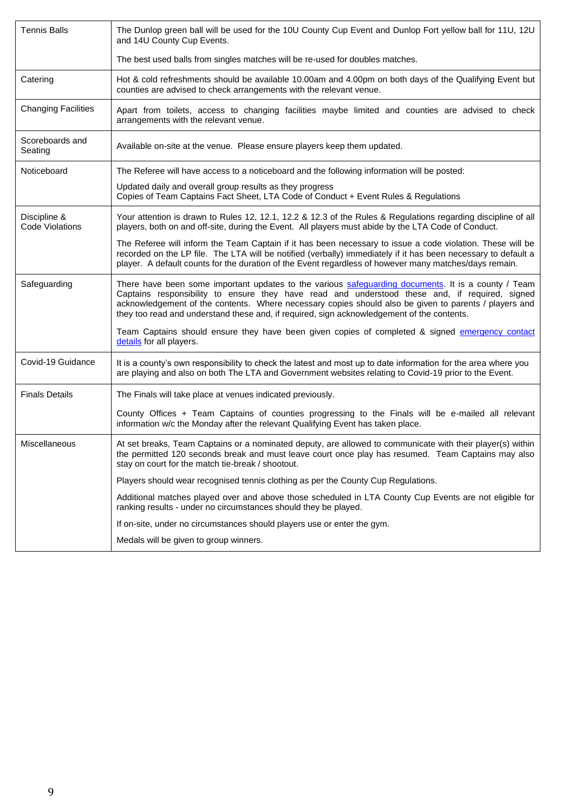| <b>Tennis Balls</b>                    | The Dunlop green ball will be used for the 10U County Cup Event and Dunlop Fort yellow ball for 11U, 12U<br>and 14U County Cup Events.                                                                                                                                                                                                                                                                       |
|----------------------------------------|--------------------------------------------------------------------------------------------------------------------------------------------------------------------------------------------------------------------------------------------------------------------------------------------------------------------------------------------------------------------------------------------------------------|
|                                        | The best used balls from singles matches will be re-used for doubles matches.                                                                                                                                                                                                                                                                                                                                |
| Catering                               | Hot & cold refreshments should be available 10.00am and 4.00pm on both days of the Qualifying Event but<br>counties are advised to check arrangements with the relevant venue.                                                                                                                                                                                                                               |
| <b>Changing Facilities</b>             | Apart from toilets, access to changing facilities maybe limited and counties are advised to check<br>arrangements with the relevant venue.                                                                                                                                                                                                                                                                   |
| Scoreboards and<br>Seating             | Available on-site at the venue. Please ensure players keep them updated.                                                                                                                                                                                                                                                                                                                                     |
| Noticeboard                            | The Referee will have access to a noticeboard and the following information will be posted:                                                                                                                                                                                                                                                                                                                  |
|                                        | Updated daily and overall group results as they progress<br>Copies of Team Captains Fact Sheet, LTA Code of Conduct + Event Rules & Regulations                                                                                                                                                                                                                                                              |
| Discipline &<br><b>Code Violations</b> | Your attention is drawn to Rules 12, 12.1, 12.2 & 12.3 of the Rules & Regulations regarding discipline of all<br>players, both on and off-site, during the Event. All players must abide by the LTA Code of Conduct.                                                                                                                                                                                         |
|                                        | The Referee will inform the Team Captain if it has been necessary to issue a code violation. These will be<br>recorded on the LP file. The LTA will be notified (verbally) immediately if it has been necessary to default a<br>player. A default counts for the duration of the Event regardless of however many matches/days remain.                                                                       |
| Safeguarding                           | There have been some important updates to the various safequarding documents. It is a county / Team<br>Captains responsibility to ensure they have read and understood these and, if required, signed<br>acknowledgement of the contents. Where necessary copies should also be given to parents / players and<br>they too read and understand these and, if required, sign acknowledgement of the contents. |
|                                        | Team Captains should ensure they have been given copies of completed & signed emergency contact<br>details for all players.                                                                                                                                                                                                                                                                                  |
| Covid-19 Guidance                      | It is a county's own responsibility to check the latest and most up to date information for the area where you<br>are playing and also on both The LTA and Government websites relating to Covid-19 prior to the Event.                                                                                                                                                                                      |
| <b>Finals Details</b>                  | The Finals will take place at venues indicated previously.                                                                                                                                                                                                                                                                                                                                                   |
|                                        | County Offices + Team Captains of counties progressing to the Finals will be e-mailed all relevant<br>information w/c the Monday after the relevant Qualifying Event has taken place.                                                                                                                                                                                                                        |
| Miscellaneous                          | At set breaks, Team Captains or a nominated deputy, are allowed to communicate with their player(s) within<br>the permitted 120 seconds break and must leave court once play has resumed. Team Captains may also<br>stay on court for the match tie-break / shootout.                                                                                                                                        |
|                                        | Players should wear recognised tennis clothing as per the County Cup Regulations.                                                                                                                                                                                                                                                                                                                            |
|                                        | Additional matches played over and above those scheduled in LTA County Cup Events are not eligible for<br>ranking results - under no circumstances should they be played.                                                                                                                                                                                                                                    |
|                                        | If on-site, under no circumstances should players use or enter the gym.                                                                                                                                                                                                                                                                                                                                      |
|                                        | Medals will be given to group winners.                                                                                                                                                                                                                                                                                                                                                                       |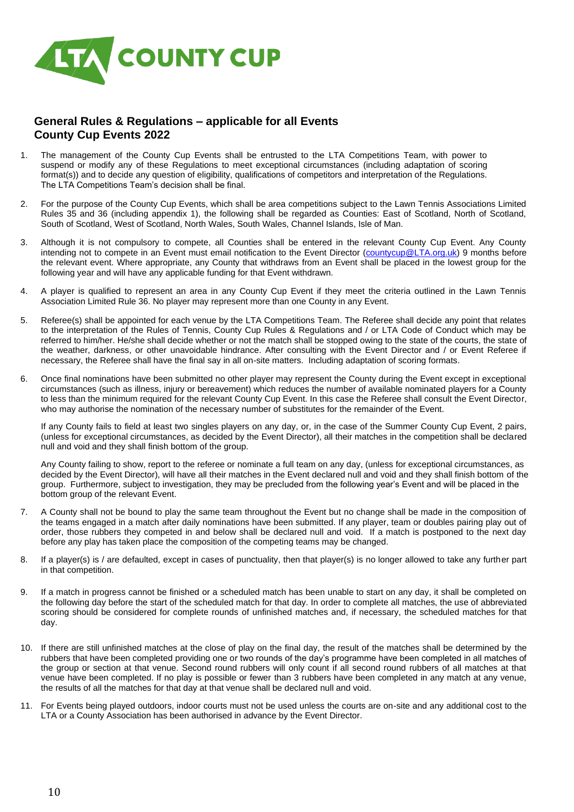

### **General Rules & Regulations – applicable for all Events County Cup Events 2022**

- 1. The management of the County Cup Events shall be entrusted to the LTA Competitions Team, with power to suspend or modify any of these Regulations to meet exceptional circumstances (including adaptation of scoring format(s)) and to decide any question of eligibility, qualifications of competitors and interpretation of the Regulations. The LTA Competitions Team's decision shall be final.
- 2. For the purpose of the County Cup Events, which shall be area competitions subject to the Lawn Tennis Associations Limited Rules 35 and 36 (including appendix 1), the following shall be regarded as Counties: East of Scotland, North of Scotland, South of Scotland, West of Scotland, North Wales, South Wales, Channel Islands, Isle of Man.
- 3. Although it is not compulsory to compete, all Counties shall be entered in the relevant County Cup Event. Any County intending not to compete in an Event must email notification to the Event Director [\(countycup@LTA.org.uk\)](mailto:countycup@LTA.org.uk) 9 months before the relevant event. Where appropriate, any County that withdraws from an Event shall be placed in the lowest group for the following year and will have any applicable funding for that Event withdrawn.
- 4. A player is qualified to represent an area in any County Cup Event if they meet the criteria outlined in the Lawn Tennis Association Limited Rule 36. No player may represent more than one County in any Event.
- 5. Referee(s) shall be appointed for each venue by the LTA Competitions Team. The Referee shall decide any point that relates to the interpretation of the Rules of Tennis, County Cup Rules & Regulations and / or LTA Code of Conduct which may be referred to him/her. He/she shall decide whether or not the match shall be stopped owing to the state of the courts, the state of the weather, darkness, or other unavoidable hindrance. After consulting with the Event Director and / or Event Referee if necessary, the Referee shall have the final say in all on-site matters. Including adaptation of scoring formats.
- 6. Once final nominations have been submitted no other player may represent the County during the Event except in exceptional circumstances (such as illness, injury or bereavement) which reduces the number of available nominated players for a County to less than the minimum required for the relevant County Cup Event. In this case the Referee shall consult the Event Director, who may authorise the nomination of the necessary number of substitutes for the remainder of the Event.

If any County fails to field at least two singles players on any day, or, in the case of the Summer County Cup Event, 2 pairs, (unless for exceptional circumstances, as decided by the Event Director), all their matches in the competition shall be declared null and void and they shall finish bottom of the group.

Any County failing to show, report to the referee or nominate a full team on any day, (unless for exceptional circumstances, as decided by the Event Director), will have all their matches in the Event declared null and void and they shall finish bottom of the group. Furthermore, subject to investigation, they may be precluded from the following year's Event and will be placed in the bottom group of the relevant Event.

- 7. A County shall not be bound to play the same team throughout the Event but no change shall be made in the composition of the teams engaged in a match after daily nominations have been submitted. If any player, team or doubles pairing play out of order, those rubbers they competed in and below shall be declared null and void. If a match is postponed to the next day before any play has taken place the composition of the competing teams may be changed.
- 8. If a player(s) is / are defaulted, except in cases of punctuality, then that player(s) is no longer allowed to take any further part in that competition.
- 9. If a match in progress cannot be finished or a scheduled match has been unable to start on any day, it shall be completed on the following day before the start of the scheduled match for that day. In order to complete all matches, the use of abbreviated scoring should be considered for complete rounds of unfinished matches and, if necessary, the scheduled matches for that day.
- 10. If there are still unfinished matches at the close of play on the final day, the result of the matches shall be determined by the rubbers that have been completed providing one or two rounds of the day's programme have been completed in all matches of the group or section at that venue. Second round rubbers will only count if all second round rubbers of all matches at that venue have been completed. If no play is possible or fewer than 3 rubbers have been completed in any match at any venue, the results of all the matches for that day at that venue shall be declared null and void.
- 11. For Events being played outdoors, indoor courts must not be used unless the courts are on-site and any additional cost to the LTA or a County Association has been authorised in advance by the Event Director.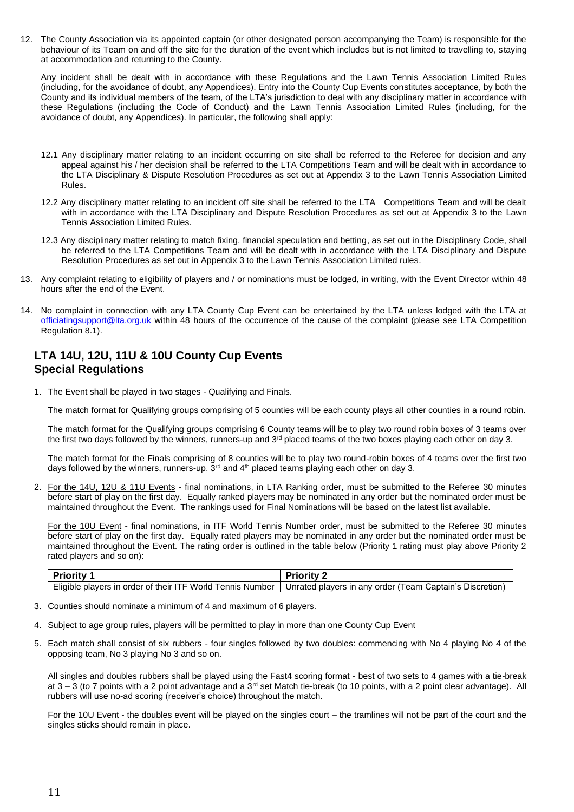12. The County Association via its appointed captain (or other designated person accompanying the Team) is responsible for the behaviour of its Team on and off the site for the duration of the event which includes but is not limited to travelling to, staying at accommodation and returning to the County.

Any incident shall be dealt with in accordance with these Regulations and the Lawn Tennis Association Limited Rules (including, for the avoidance of doubt, any Appendices). Entry into the County Cup Events constitutes acceptance, by both the County and its individual members of the team, of the LTA's jurisdiction to deal with any disciplinary matter in accordance with these Regulations (including the Code of Conduct) and the Lawn Tennis Association Limited Rules (including, for the avoidance of doubt, any Appendices). In particular, the following shall apply:

- 12.1 Any disciplinary matter relating to an incident occurring on site shall be referred to the Referee for decision and any appeal against his / her decision shall be referred to the LTA Competitions Team and will be dealt with in accordance to the LTA Disciplinary & Dispute Resolution Procedures as set out at Appendix 3 to the Lawn Tennis Association Limited Rules.
- 12.2 Any disciplinary matter relating to an incident off site shall be referred to the LTA Competitions Team and will be dealt with in accordance with the LTA Disciplinary and Dispute Resolution Procedures as set out at Appendix 3 to the Lawn Tennis Association Limited Rules.
- 12.3 Any disciplinary matter relating to match fixing, financial speculation and betting, as set out in the Disciplinary Code, shall be referred to the LTA Competitions Team and will be dealt with in accordance with the LTA Disciplinary and Dispute Resolution Procedures as set out in Appendix 3 to the Lawn Tennis Association Limited rules.
- 13. Any complaint relating to eligibility of players and / or nominations must be lodged, in writing, with the Event Director within 48 hours after the end of the Event.
- 14. No complaint in connection with any LTA County Cup Event can be entertained by the LTA unless lodged with the LTA at [officiatingsupport@lta.org.uk](mailto:officiatingsupport@lta.org.uk) within 48 hours of the occurrence of the cause of the complaint (please see LTA Competition Regulation 8.1).

### **LTA 14U, 12U, 11U & 10U County Cup Events Special Regulations**

1. The Event shall be played in two stages - Qualifying and Finals.

The match format for Qualifying groups comprising of 5 counties will be each county plays all other counties in a round robin.

The match format for the Qualifying groups comprising 6 County teams will be to play two round robin boxes of 3 teams over the first two days followed by the winners, runners-up and 3<sup>rd</sup> placed teams of the two boxes playing each other on day 3.

The match format for the Finals comprising of 8 counties will be to play two round-robin boxes of 4 teams over the first two days followed by the winners, runners-up,  $3<sup>rd</sup>$  and  $4<sup>th</sup>$  placed teams playing each other on day 3.

2. For the 14U, 12U & 11U Events - final nominations, in LTA Ranking order, must be submitted to the Referee 30 minutes before start of play on the first day. Equally ranked players may be nominated in any order but the nominated order must be maintained throughout the Event. The rankings used for Final Nominations will be based on the latest list available.

For the 10U Event - final nominations, in ITF World Tennis Number order, must be submitted to the Referee 30 minutes before start of play on the first day. Equally rated players may be nominated in any order but the nominated order must be maintained throughout the Event. The rating order is outlined in the table below (Priority 1 rating must play above Priority 2 rated players and so on):

| Priority                                                                      | <b>Priority</b>                                                       |
|-------------------------------------------------------------------------------|-----------------------------------------------------------------------|
| Eligible<br>World<br>╹╹┕<br>l ennis<br>players in order<br>of their<br>Number | Unrated players in<br>leam<br>شcaptain′<br>order<br>Discretion<br>anv |

- 3. Counties should nominate a minimum of 4 and maximum of 6 players.
- 4. Subject to age group rules, players will be permitted to play in more than one County Cup Event
- 5. Each match shall consist of six rubbers four singles followed by two doubles: commencing with No 4 playing No 4 of the opposing team, No 3 playing No 3 and so on.

All singles and doubles rubbers shall be played using the Fast4 scoring format - best of two sets to 4 games with a tie-break at  $3 - 3$  (to 7 points with a 2 point advantage and a  $3^{rd}$  set Match tie-break (to 10 points, with a 2 point clear advantage). All rubbers will use no-ad scoring (receiver's choice) throughout the match.

For the 10U Event - the doubles event will be played on the singles court – the tramlines will not be part of the court and the singles sticks should remain in place.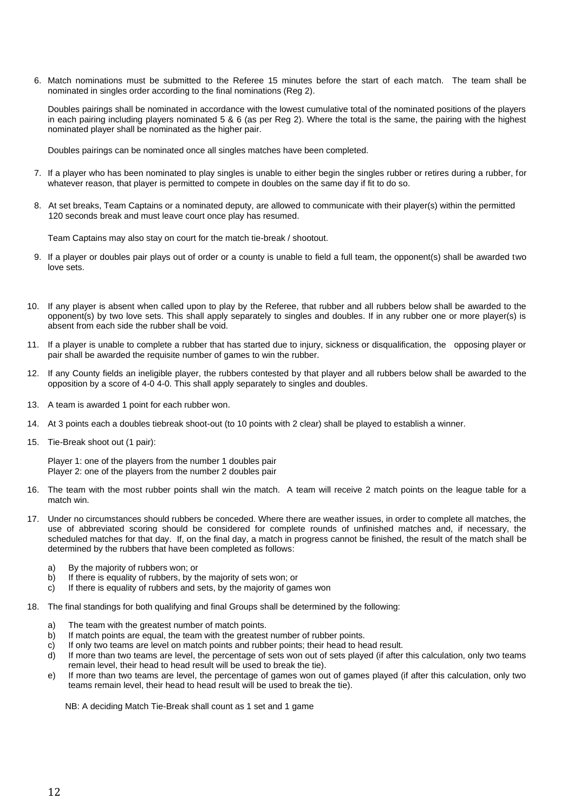6. Match nominations must be submitted to the Referee 15 minutes before the start of each match. The team shall be nominated in singles order according to the final nominations (Reg 2).

Doubles pairings shall be nominated in accordance with the lowest cumulative total of the nominated positions of the players in each pairing including players nominated 5 & 6 (as per Reg 2). Where the total is the same, the pairing with the highest nominated player shall be nominated as the higher pair.

Doubles pairings can be nominated once all singles matches have been completed.

- 7. If a player who has been nominated to play singles is unable to either begin the singles rubber or retires during a rubber, for whatever reason, that player is permitted to compete in doubles on the same day if fit to do so.
- 8. At set breaks, Team Captains or a nominated deputy, are allowed to communicate with their player(s) within the permitted 120 seconds break and must leave court once play has resumed.

Team Captains may also stay on court for the match tie-break / shootout.

- 9. If a player or doubles pair plays out of order or a county is unable to field a full team, the opponent(s) shall be awarded two love sets.
- 10. If any player is absent when called upon to play by the Referee, that rubber and all rubbers below shall be awarded to the opponent(s) by two love sets. This shall apply separately to singles and doubles. If in any rubber one or more player(s) is absent from each side the rubber shall be void.
- 11. If a player is unable to complete a rubber that has started due to injury, sickness or disqualification, the opposing player or pair shall be awarded the requisite number of games to win the rubber.
- 12. If any County fields an ineligible player, the rubbers contested by that player and all rubbers below shall be awarded to the opposition by a score of 4-0 4-0. This shall apply separately to singles and doubles.
- 13. A team is awarded 1 point for each rubber won.
- 14. At 3 points each a doubles tiebreak shoot-out (to 10 points with 2 clear) shall be played to establish a winner.
- 15. Tie-Break shoot out (1 pair):

Player 1: one of the players from the number 1 doubles pair Player 2: one of the players from the number 2 doubles pair

- 16. The team with the most rubber points shall win the match. A team will receive 2 match points on the league table for a match win.
- 17. Under no circumstances should rubbers be conceded. Where there are weather issues, in order to complete all matches, the use of abbreviated scoring should be considered for complete rounds of unfinished matches and, if necessary, the scheduled matches for that day. If, on the final day, a match in progress cannot be finished, the result of the match shall be determined by the rubbers that have been completed as follows:
	- a) By the majority of rubbers won; or<br>b) If there is equality of rubbers, by the
	- If there is equality of rubbers, by the majority of sets won; or
	- c) If there is equality of rubbers and sets, by the majority of games won
- 18. The final standings for both qualifying and final Groups shall be determined by the following:
	- a) The team with the greatest number of match points.
	- b) If match points are equal, the team with the greatest number of rubber points.
	- c) If only two teams are level on match points and rubber points; their head to head result.
	- d) If more than two teams are level, the percentage of sets won out of sets played (if after this calculation, only two teams remain level, their head to head result will be used to break the tie).
	- e) If more than two teams are level, the percentage of games won out of games played (if after this calculation, only two teams remain level, their head to head result will be used to break the tie).

NB: A deciding Match Tie-Break shall count as 1 set and 1 game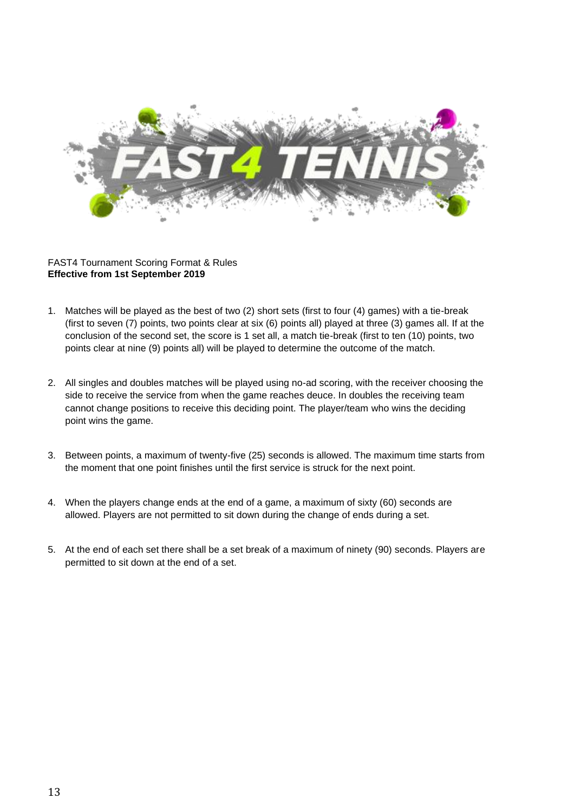

### FAST4 Tournament Scoring Format & Rules **Effective from 1st September 2019**

- 1. Matches will be played as the best of two (2) short sets (first to four (4) games) with a tie-break (first to seven (7) points, two points clear at six (6) points all) played at three (3) games all. If at the conclusion of the second set, the score is 1 set all, a match tie-break (first to ten (10) points, two points clear at nine (9) points all) will be played to determine the outcome of the match.
- 2. All singles and doubles matches will be played using no-ad scoring, with the receiver choosing the side to receive the service from when the game reaches deuce. In doubles the receiving team cannot change positions to receive this deciding point. The player/team who wins the deciding point wins the game.
- 3. Between points, a maximum of twenty-five (25) seconds is allowed. The maximum time starts from the moment that one point finishes until the first service is struck for the next point.
- 4. When the players change ends at the end of a game, a maximum of sixty (60) seconds are allowed. Players are not permitted to sit down during the change of ends during a set.
- 5. At the end of each set there shall be a set break of a maximum of ninety (90) seconds. Players are permitted to sit down at the end of a set.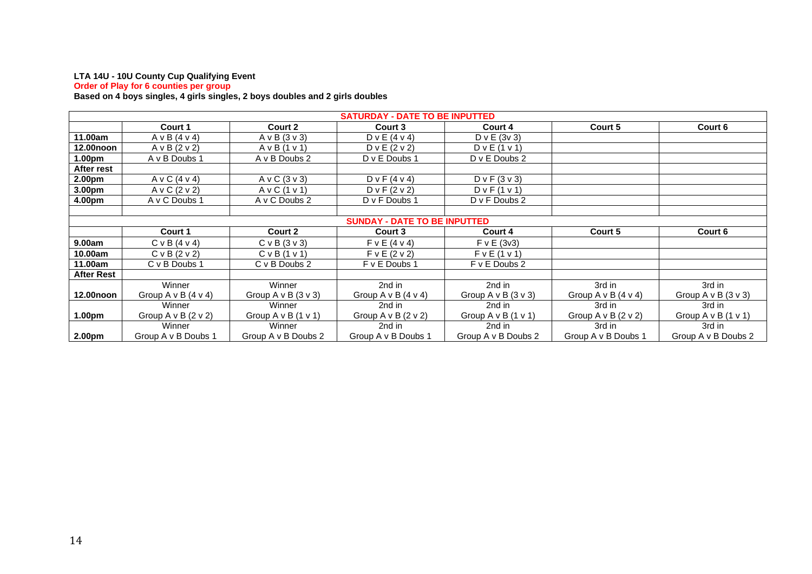#### **LTA 14U - 10U County Cup Qualifying Event**

**Order of Play for 6 counties per group** 

**Based on 4 boys singles, 4 girls singles, 2 boys doubles and 2 girls doubles**

|                    | <b>SATURDAY - DATE TO BE INPUTTED</b> |                               |                                     |                               |                               |                               |  |  |  |  |
|--------------------|---------------------------------------|-------------------------------|-------------------------------------|-------------------------------|-------------------------------|-------------------------------|--|--|--|--|
|                    | Court 1                               | Court 2                       | Court 3                             | Court 4                       | Court 5                       | Court 6                       |  |  |  |  |
| 11.00am            | $A \vee B$ (4 $\vee$ 4)               | $A \vee B$ (3 $\vee$ 3)       | D v E (4 v 4)                       | $D \vee E$ (3 $\nu$ 3)        |                               |                               |  |  |  |  |
| 12.00noon          | $A \vee B$ (2 $\vee$ 2)               | $A \vee B$ (1 $\vee$ 1)       | $D \vee E$ (2 $\vee$ 2)             | $D \vee E$ (1 $\vee$ 1)       |                               |                               |  |  |  |  |
| 1.00pm             | A v B Doubs 1                         | A v B Doubs 2                 | $D \vee E$ Doubs 1                  | $D \vee E$ Doubs 2            |                               |                               |  |  |  |  |
| After rest         |                                       |                               |                                     |                               |                               |                               |  |  |  |  |
| 2.00 <sub>pm</sub> | A v C $(4 v 4)$                       | $A \vee C$ (3 $\vee$ 3)       | $D \vee F$ (4 $\vee$ 4)             | $D \vee F$ (3 $\vee$ 3)       |                               |                               |  |  |  |  |
| 3.00pm             | $A \vee C$ (2 $\vee$ 2)               | $A \vee C$ (1 $\vee$ 1)       | D v F (2 v 2)                       | $D \vee F (1 \vee 1)$         |                               |                               |  |  |  |  |
| 4.00pm             | A v C Doubs 1                         | A v C Doubs 2                 | D v F Doubs 1                       | $D \vee F$ Doubs 2            |                               |                               |  |  |  |  |
|                    |                                       |                               |                                     |                               |                               |                               |  |  |  |  |
|                    |                                       |                               | <b>SUNDAY - DATE TO BE INPUTTED</b> |                               |                               |                               |  |  |  |  |
|                    | Court 1                               | <b>Court 2</b>                | Court 3                             | Court 4                       | Court 5                       | Court 6                       |  |  |  |  |
| 9.00am             | $C \vee B$ (4 $\vee$ 4)               | C v B (3 v 3)                 | F v E (4 v 4)                       | F v E (3v3)                   |                               |                               |  |  |  |  |
| 10.00am            | C v B (2 v 2)                         | C v B (1 v 1)                 | F v E (2 v 2)                       | F v E (1 v 1)                 |                               |                               |  |  |  |  |
| 11.00am            | C v B Doubs 1                         | C v B Doubs 2                 | F v E Doubs 1                       | F v E Doubs 2                 |                               |                               |  |  |  |  |
| <b>After Rest</b>  |                                       |                               |                                     |                               |                               |                               |  |  |  |  |
|                    | Winner                                | Winner                        | 2nd in                              | 2nd in                        | 3rd in                        | 3rd in                        |  |  |  |  |
| 12.00noon          | Group $A \vee B$ (4 $\vee$ 4)         | Group $A \vee B$ (3 $\vee$ 3) | Group $A \vee B$ (4 $\vee$ 4)       | Group $A \vee B$ (3 $\vee$ 3) | Group $A \vee B$ (4 $\vee$ 4) | Group $A \vee B$ (3 $\vee$ 3) |  |  |  |  |
|                    | Winner                                | Winner                        | 2nd in                              | 2nd in                        | 3rd in                        | 3rd in                        |  |  |  |  |
| 1.00 <sub>pm</sub> | Group $A \vee B$ (2 $\vee$ 2)         | Group $A \vee B$ (1 $\vee$ 1) | Group $A \vee B$ (2 $\vee$ 2)       | Group $A \vee B$ (1 $\vee$ 1) | Group $A \vee B$ (2 $\vee$ 2) | Group $A \vee B$ (1 $\vee$ 1) |  |  |  |  |
|                    | Winner                                | Winner                        | 2nd in                              | 2nd in                        | 3rd in                        | 3rd in                        |  |  |  |  |
| 2.00pm             | Group A v B Doubs 1                   | Group A v B Doubs 2           | Group A v B Doubs 1                 | Group A v B Doubs 2           | Group A v B Doubs 1           | Group A v B Doubs 2           |  |  |  |  |